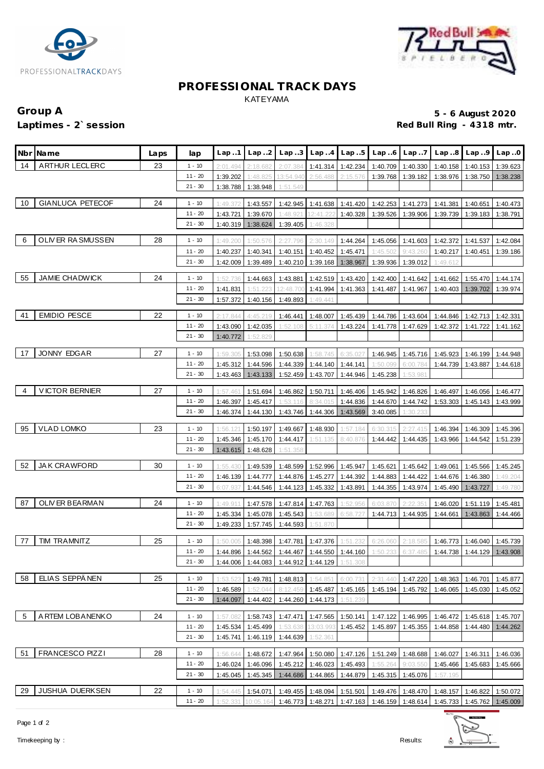



### **PROFESSIONAL TRACK DAYS** KATEYAMA

# **Group A 5 - 6 August 2020 Laptimes - 2`session Red Bull Ring - 4318 mtr.**

|    | Nbr Name                | Laps | lap                    | Lap.1                | Lap.2                 | Lap.3                               |                               | $Lap.4$ $Lap.5$                        | Lap.6                                                                                                        | Lap.7               | Lap.8                                                                                                                   | Lap.9             | Lap.0                |
|----|-------------------------|------|------------------------|----------------------|-----------------------|-------------------------------------|-------------------------------|----------------------------------------|--------------------------------------------------------------------------------------------------------------|---------------------|-------------------------------------------------------------------------------------------------------------------------|-------------------|----------------------|
| 14 | ARTHUR LECLERC          | 23   | $1 - 10$               | 2:01.494             | 2:18.682              | 2:07.384                            | 1:41.314                      | 1:42.234                               | 1:40.709                                                                                                     | 1:40.330            | 1:40.158                                                                                                                | 1:40.153          | 1:39.623             |
|    |                         |      | $11 - 20$              | 1:39.202             | 1:48.825              | 13:54.940                           | 2:56.488                      | 2:15.576                               | 1:39.768                                                                                                     | 1:39.182            | 1:38.976                                                                                                                | 1:38.750          | 1:38.238             |
|    |                         |      | $21 - 30$              | 1:38.788             | 1:38.948              | 1:51.549                            |                               |                                        |                                                                                                              |                     |                                                                                                                         |                   |                      |
| 10 | <b>GIANLUCA PETECOF</b> | 24   | $1 - 10$               | 1:49.372             | 1:43.557              | 1:42.945                            |                               | 1:41.638 1:41.420                      |                                                                                                              | 1:42.253 1:41.273   | 1:41.381                                                                                                                | 1:40.651          | 1:40.473             |
|    |                         |      | $11 - 20$              | 1:43.721             | 1:39.670              | 1:48.921                            | 12:41.222                     | 1:40.328                               | 1:39.526                                                                                                     | 1:39.906            | 1:39.739                                                                                                                | 1:39.183          | 1:38.791             |
|    |                         |      | $21 - 30$              | 1:40.319             | 1:38.624              | 1:39.405                            | 1:46.328                      |                                        |                                                                                                              |                     |                                                                                                                         |                   |                      |
|    |                         | 28   |                        |                      |                       |                                     |                               |                                        |                                                                                                              |                     |                                                                                                                         |                   |                      |
| -6 | OLIVER RASMUSSEN        |      | $1 - 10$               | 1:49.200             | 1:50.576              | 2:27.796                            | 2:30.149                      | 1:44.264                               | 1:45.056                                                                                                     | 1:41.603            | 1:42.372                                                                                                                | 1:41.537          | 1:42.084             |
|    |                         |      | $11 - 20$<br>$21 - 30$ | 1:40.237<br>1:42.009 | 1:40.341<br>1:39.489  | 1:40.151                            | 1:40.452<br>1:40.210 1:39.168 | 1:45.471<br>1:38.967                   | 1:45.502<br>1:39.936                                                                                         | 9:43.26<br>1:39.012 | 1:40.217<br>1:49.612                                                                                                    | 1:40.451          | 1:39.186             |
|    |                         |      |                        |                      |                       |                                     |                               |                                        |                                                                                                              |                     |                                                                                                                         |                   |                      |
| 55 | JAMIE CHADWICK          | 24   | $1 - 10$               | 1:52.736             | 1:44.663              | 1:43.881                            | 1:42.519                      | 1:43.420                               | 1:42.400                                                                                                     | 1:41.642            | 1:41.662                                                                                                                | 1:55.470          | 1:44.174             |
|    |                         |      | $11 - 20$              | 1:41.831             | 1:51.223              | 12:48.700                           | 1:41.994                      | 1:41.363                               | 1:41.487                                                                                                     | 1:41.967            | 1:40.403                                                                                                                | 1:39.702          | 1:39.974             |
|    |                         |      | $21 - 30$              | 1:57.372             | 1:40.156              | 1:49.893                            | 1:49.441                      |                                        |                                                                                                              |                     |                                                                                                                         |                   |                      |
| 41 | <b>EMIDIO PESCE</b>     | 22   | $1 - 10$               | 2:17.844             | 4:45.219              | 1:46.441                            | 1:48.007                      | 1:45.439                               | 1:44.786                                                                                                     | 1:43.604            | 1:44.846                                                                                                                | 1:42.713          | 1:42.331             |
|    |                         |      | $11 - 20$              | 1:43.090             | 1:42.035              | 1:52.108                            | 5:11.374                      | 1:43.224                               | 1:41.778                                                                                                     | 1:47.629            | 1:42.372                                                                                                                | 1:41.722          | 1:41.162             |
|    |                         |      | $21 - 30$              | 1:40.772             | 1:52.829              |                                     |                               |                                        |                                                                                                              |                     |                                                                                                                         |                   |                      |
| 17 | JONNY EDGAR             | 27   | $1 - 10$               | 1:59.305             | 1:53.098              | 1:50.638                            | 1:58.745                      | 6:35.027                               | 1:46.945                                                                                                     | 1:45.716            | 1:45.923                                                                                                                | 1:46.199          | 1:44.948             |
|    |                         |      | $11 - 20$              | 1:45.312             | 1:44.596              | 1:44.339                            |                               | 1:44.140 1:44.141                      | 1:50.099                                                                                                     | 6:00.784            | 1:44.739                                                                                                                | 1:43.887          | 1:44.618             |
|    |                         |      | $21 - 30$              | 1:43.463             | 1:43.133              | 1:52.459                            | 1:43.707                      | 1:44.946                               | 1:45.238                                                                                                     | 1:53.98             |                                                                                                                         |                   |                      |
|    |                         |      |                        |                      |                       |                                     |                               |                                        |                                                                                                              |                     |                                                                                                                         |                   |                      |
| 4  | <b>VICTOR BERNIER</b>   | 27   | $1 - 10$               | 1:57.461             | 1:51.694              | 1:46.862                            | 1:50.711                      | 1:46.406                               | 1:45.942                                                                                                     | 1:46.826            | 1:46.497                                                                                                                | 1:46.056          | 1:46.477             |
|    |                         |      | $11 - 20$<br>$21 - 30$ | 1:46.397<br>1:46.374 | 1:45.417<br>1:44.130  | 1:53.116                            | 8:34.015                      | 1:44.836<br>1:43.746 1:44.306 1:43.569 | 1:44.670<br>3:40.085                                                                                         | 1:44.742<br>1:30.23 | 1:53.303                                                                                                                | 1:45.143          | 1:43.999             |
|    |                         |      |                        |                      |                       |                                     |                               |                                        |                                                                                                              |                     |                                                                                                                         |                   |                      |
| 95 | <b>VLAD LOMKO</b>       | 23   | $1 - 10$               | 1:56.121             | 1:50.197              | 1:49.667                            | 1:48.930                      | 1:57.184                               | 6:30.315                                                                                                     | 2:27.415            | 1:46.394                                                                                                                | 1:46.309          | 1:45.396             |
|    |                         |      | $11 - 20$              | 1:45.346             | 1:45.170              | 1:44.417                            | 1:51.135                      | 8:40.876                               | 1:44.442                                                                                                     | 1:44.435            | 1:43.966                                                                                                                | 1:44.542          | 1:51.239             |
|    |                         |      | $21 - 30$              | 1:43.615             | 1:48.628              | 1:51.358                            |                               |                                        |                                                                                                              |                     |                                                                                                                         |                   |                      |
| 52 | JAK CRAWFORD            | 30   | $1 - 10$               | 1:55.430             | 1:49.539              | 1:48.599                            |                               | 1:52.996 1:45.947                      | 1:45.621                                                                                                     | 1:45.642            | 1:49.061                                                                                                                | 1:45.566          | 1:45.245             |
|    |                         |      | $11 - 20$              | 1:46.139             | 1:44.777              | 1:44.876                            | 1:45.277                      | 1:44.392                               | 1:44.883                                                                                                     | 1:44.422            | 1:44.676                                                                                                                | 1:46.380          | 1:49.204             |
|    |                         |      | $21 - 30$              | 6:07.937             | 1:44.546              |                                     | 1:44.123 1:45.332             | 1:43.891                               | 1:44.355                                                                                                     | 1:43.974            | 1:45.490                                                                                                                | 1:43.727          | 1:49.780             |
| 87 | OLIV ER BEARMAN         | 24   | $1 - 10$               | 1:49.91              | 1:47.578              | 1:47.814                            | 1:47.763                      | 1:52.956                               | 6:03.87                                                                                                      | 2:22.35             | 1:46.020                                                                                                                | 1:51.119          | 1:45.481             |
|    |                         |      | $11 - 20$              | 1:45.334             | 1:45.078              | 1:45.543                            | 1:53.689                      | 6:58.727                               | 1:44.713                                                                                                     | 1:44.935            | 1:44.661                                                                                                                | 1:43.863          | 1:44.466             |
|    |                         |      | $21 - 30$              | 1:49.233             | 1:57.745              | 1:44.593                            | 1:51.870                      |                                        |                                                                                                              |                     |                                                                                                                         |                   |                      |
| 77 | <b>TIM TRAMNITZ</b>     | 25   |                        |                      |                       |                                     |                               |                                        |                                                                                                              |                     |                                                                                                                         |                   |                      |
|    |                         |      | $1 - 10$<br>$11 - 20$  | 1:50.005             |                       | 1:48.398 1:47.781 1:47.376 1:51.232 |                               |                                        | 6:26.060                                                                                                     | 2:18.585            | 1:46.773 1:46.040 1:45.739<br>1:44.896 1:44.562 1:44.467 1:44.550 1:44.160 1:50.233 6:37.485 1:44.738 1:44.129 1:43.908 |                   |                      |
|    |                         |      | $21 - 30$              | 1:44.006             | 1:44.083              |                                     | 1:44.912 1:44.129             | 1:51.308                               |                                                                                                              |                     |                                                                                                                         |                   |                      |
|    |                         |      |                        |                      |                       |                                     |                               |                                        |                                                                                                              |                     |                                                                                                                         |                   |                      |
| 58 | ELIAS SEPPÄNEN          | 25   | $1 - 10$               | 1:53.523             | 1:49.781              | 1:48.813                            | 1:54.851                      | 6:00.731                               | 2:31.440                                                                                                     | 1:47.220            | 1:48.363                                                                                                                | 1:46.701          | 1:45.877             |
|    |                         |      | $11 - 20$              | 1:46.589             | 1:52.044              | 8:12.459                            | 1:45.487                      | 1:45.165                               | 1:45.194                                                                                                     | 1:45.792            | 1:46.065                                                                                                                | 1:45.030          | 1:45.052             |
|    |                         |      | $21 - 30$              | 1:44.097             | 1:44.402              |                                     | 1:44.260 1:44.173             | 1:51.239                               |                                                                                                              |                     |                                                                                                                         |                   |                      |
| -5 | A RTEM LOBANENKO        | 24   | $1 - 10$               | 1:57.082             | 1:58.743              | 1:47.471                            | 1:47.565                      | 1:50.141                               | 1:47.122                                                                                                     | 1:46.995            | 1:46.472                                                                                                                | 1:45.618          | 1:45.707             |
|    |                         |      | $11 - 20$              | 1:45.534             | 1:45.499              | 1:53.638                            | 3:03.99                       | 1:45.452                               | 1:45.897                                                                                                     | 1:45.355            | 1:44.858                                                                                                                | 1:44.480          | 1:44.262             |
|    |                         |      | 21 - 30                | 1:45.741             | 1:46.119              | 1:44.639                            | 1:52.361                      |                                        |                                                                                                              |                     |                                                                                                                         |                   |                      |
| 51 | <b>FRANCESCO PIZZI</b>  | 28   | $1 - 10$               | 1:56.644             | 1:48.672              |                                     |                               | 1:47.964 1:50.080 1:47.126             |                                                                                                              | 1:51.249 1:48.688   | 1:46.027                                                                                                                | 1:46.311          | 1:46.036             |
|    |                         |      | $11 - 20$              | 1:46.024             | 1:46.096              |                                     |                               | 1:45.212 1:46.023 1:45.493             | 1:55.264                                                                                                     | 9:03.550            | 1:45.466                                                                                                                | 1:45.683          | 1:45.666             |
|    |                         |      | $21 - 30$              | 1:45.045             | 1:45.345              |                                     | 1:44.686 1:44.865             | 1:44.879                               |                                                                                                              | 1:45.315   1:45.076 | 1:57.195                                                                                                                |                   |                      |
| 29 | <b>JUSHUA DUERKSEN</b>  | 22   | $1 - 10$               | 1:54.445             |                       |                                     |                               |                                        |                                                                                                              |                     |                                                                                                                         |                   |                      |
|    |                         |      | $11 - 20$              | 1:52.331             | 1:54.071<br>10:05.164 |                                     |                               |                                        | 1:49.455   1:48.094   1:51.501   1:49.476   1:48.470<br>1:46.773   1:48.271   1:47.163   1:46.159   1:48.614 |                     | $1:45.733$ 1:45.762                                                                                                     | 1:48.157 1:46.822 | 1:50.072<br>1:45.009 |
|    |                         |      |                        |                      |                       |                                     |                               |                                        |                                                                                                              |                     |                                                                                                                         |                   |                      |





Page 1 of 2